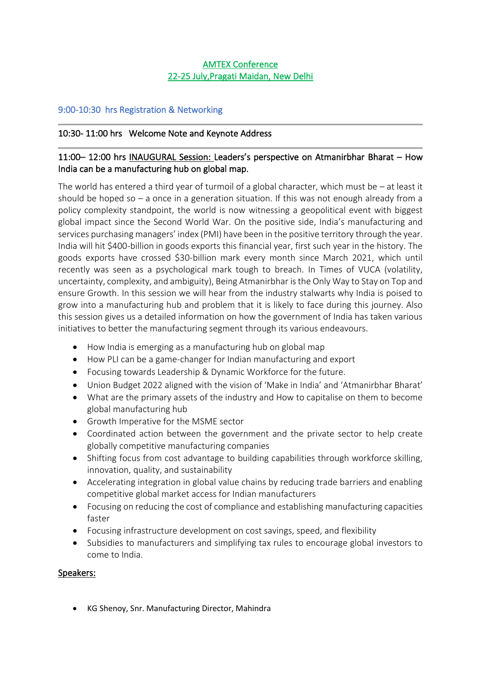# AMTEX Conference 22-25 July,Pragati Maidan, New Delhi

## 9:00-10:30 hrs Registration & Networking

## 10:30- 11:00 hrs Welcome Note and Keynote Address

#### $\overline{\phantom{a}}$ 11:00– 12:00 hrs INAUGURAL Session: Leaders's perspective on Atmanirbhar Bharat – How India can be a manufacturing hub on global map.

 $\overline{\phantom{a}}$ 

The world has entered a third year of turmoil of a global character, which must be  $-$  at least it should be hoped so – a once in a generation situation. If this was not enough already from a policy complexity standpoint, the world is now witnessing a geopolitical event with biggest global impact since the Second World War. On the positive side, India's manufacturing and services purchasing managers' index (PMI) have been in the positive territory through the year. India will hit \$400-billion in goods exports this financial year, first such year in the history. The goods exports have crossed \$30-billion mark every month since March 2021, which until recently was seen as a psychological mark tough to breach. In Times of VUCA (volatility, uncertainty, complexity, and ambiguity), Being Atmanirbhar is the Only Way to Stay on Top and ensure Growth. In this session we will hear from the industry stalwarts why India is poised to grow into a manufacturing hub and problem that it is likely to face during this journey. Also this session gives us a detailed information on how the government of India has taken various initiatives to better the manufacturing segment through its various endeavours.

- How India is emerging as a manufacturing hub on global map
- How PLI can be a game-changer for Indian manufacturing and export
- Focusing towards Leadership & Dynamic Workforce for the future.
- Union Budget 2022 aligned with the vision of 'Make in India' and 'Atmanirbhar Bharat'
- What are the primary assets of the industry and How to capitalise on them to become global manufacturing hub
- Growth Imperative for the MSME sector
- Coordinated action between the government and the private sector to help create globally competitive manufacturing companies
- Shifting focus from cost advantage to building capabilities through workforce skilling, innovation, quality, and sustainability
- Accelerating integration in global value chains by reducing trade barriers and enabling competitive global market access for Indian manufacturers
- Focusing on reducing the cost of compliance and establishing manufacturing capacities faster
- Focusing infrastructure development on cost savings, speed, and flexibility
- Subsidies to manufacturers and simplifying tax rules to encourage global investors to come to India.

## Speakers:

• KG Shenoy, Snr. Manufacturing Director, Mahindra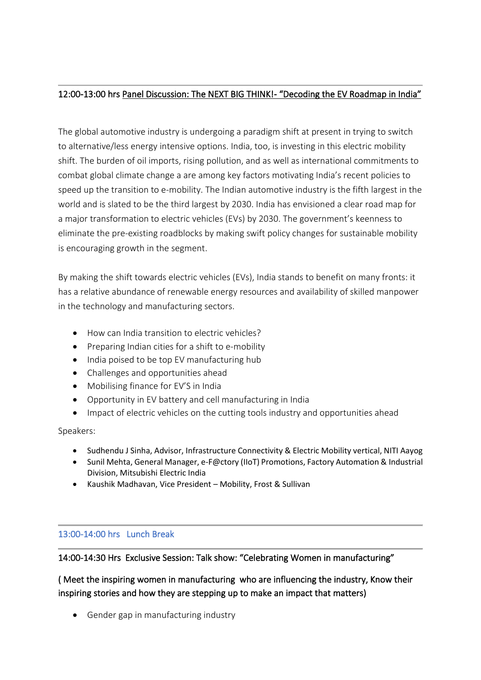#### $\overline{\phantom{a}}$ 12:00-13:00 hrs Panel Discussion: The NEXT BIG THINK!- "Decoding the EV Roadmap in India"

The global automotive industry is undergoing a paradigm shift at present in trying to switch to alternative/less energy intensive options. India, too, is investing in this electric mobility shift. The burden of oil imports, rising pollution, and as well as international commitments to combat global climate change a are among key factors motivating India's recent policies to speed up the transition to e-mobility. The Indian automotive industry is the fifth largest in the world and is slated to be the third largest by 2030. India has envisioned a clear road map for a major transformation to electric vehicles (EVs) by 2030. The government's keenness to eliminate the pre-existing roadblocks by making swift policy changes for sustainable mobility is encouraging growth in the segment.

By making the shift towards electric vehicles (EVs), India stands to benefit on many fronts: it has a relative abundance of renewable energy resources and availability of skilled manpower in the technology and manufacturing sectors.

- How can India transition to electric vehicles?
- Preparing Indian cities for a shift to e-mobility
- India poised to be top EV manufacturing hub
- Challenges and opportunities ahead
- Mobilising finance for EV'S in India
- Opportunity in EV battery and cell manufacturing in India
- Impact of electric vehicles on the cutting tools industry and opportunities ahead

Speakers:

- Sudhendu J Sinha, Advisor, Infrastructure Connectivity & Electric Mobility vertical, NITI Aayog
- Sunil Mehta, General Manager, e-F@ctory (IIoT) Promotions, Factory Automation & Industrial Division, Mitsubishi Electric India
- Kaushik Madhavan, Vice President Mobility, Frost & Sullivan

# 13:00-14:00 hrs Lunch Break

14:00-14:30 Hrs Exclusive Session: Talk show: "Celebrating Women in manufacturing"

( Meet the inspiring women in manufacturing who are influencing the industry, Know their inspiring stories and how they are stepping up to make an impact that matters)

• Gender gap in manufacturing industry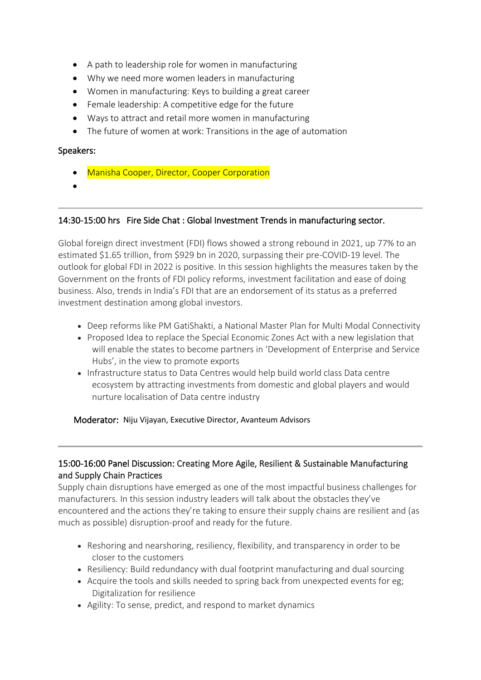- A path to leadership role for women in manufacturing
- Why we need more women leaders in manufacturing
- Women in manufacturing: Keys to building a great career
- Female leadership: A competitive edge for the future
- Ways to attract and retail more women in manufacturing
- The future of women at work: Transitions in the age of automation

## Speakers:

- Manisha Cooper, Director, Cooper Corporation
- •

## 14:30-15:00 hrs Fire Side Chat : Global Investment Trends in manufacturing sector.

Global foreign direct investment (FDI) flows showed a strong rebound in 2021, up 77% to an estimated \$1.65 trillion, from \$929 bn in 2020, surpassing their pre-COVID-19 level. The outlook for global FDI in 2022 is positive. In this session highlights the measures taken by the Government on the fronts of FDI policy reforms, investment facilitation and ease of doing business. Also, trends in India's FDI that are an endorsement of its status as a preferred investment destination among global investors.

 $\overline{\phantom{a}}$ 

- Deep reforms like PM GatiShakti, a National Master Plan for Multi Modal Connectivity
- Proposed Idea to replace the Special Economic Zones Act with a new legislation that will enable the states to become partners in 'Development of Enterprise and Service Hubs', in the view to promote exports
- Infrastructure status to Data Centres would help build world class Data centre ecosystem by attracting investments from domestic and global players and would nurture localisation of Data centre industry

### Moderator: Niju Vijayan, Executive Director, Avanteum Advisors

## 15:00-16:00 Panel Discussion: Creating More Agile, Resilient & Sustainable Manufacturing and Supply Chain Practices

Supply chain disruptions have emerged as one of the most impactful business challenges for manufacturers. In this session industry leaders will talk about the obstacles they've encountered and the actions they're taking to ensure their supply chains are resilient and (as much as possible) disruption-proof and ready for the future.

- Reshoring and nearshoring, resiliency, flexibility, and transparency in order to be closer to the customers
- Resiliency: Build redundancy with dual footprint manufacturing and dual sourcing
- Acquire the tools and skills needed to spring back from unexpected events for eg; Digitalization for resilience
- Agility: To sense, predict, and respond to market dynamics